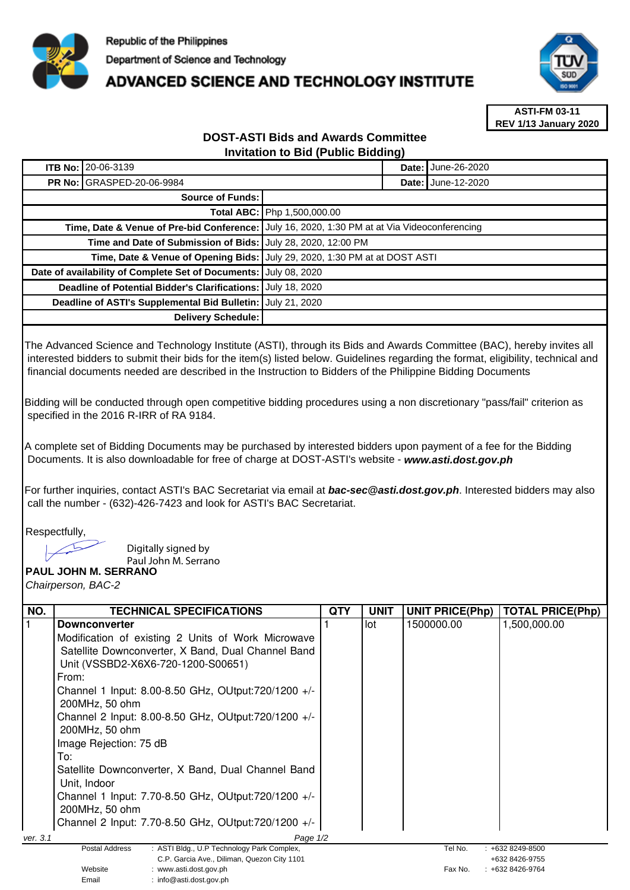

## **ADVANCED SCIENCE AND TECHNOLOGY INSTITUTE**



**ASTI-FM 03-11 REV 1/13 January 2020**

## **DOST-ASTI Bids and Awards Committee Invitation to Bid (Public Bidding)**

| <b>ITB No:</b>                                               | 20-06-3139                                    |                                                                            |  | June-26-2020       |
|--------------------------------------------------------------|-----------------------------------------------|----------------------------------------------------------------------------|--|--------------------|
|                                                              | <b>PR No: GRASPED-20-06-9984</b>              |                                                                            |  | Date: June-12-2020 |
| Source of Funds:                                             |                                               |                                                                            |  |                    |
|                                                              |                                               | Total ABC: Php 1,500,000.00                                                |  |                    |
| Time, Date & Venue of Pre-bid Conference:                    |                                               | July 16, 2020, 1:30 PM at at Via Videoconferencing                         |  |                    |
| Time and Date of Submission of Bids: July 28, 2020, 12:00 PM |                                               |                                                                            |  |                    |
|                                                              |                                               | Time, Date & Venue of Opening Bids: July 29, 2020, 1:30 PM at at DOST ASTI |  |                    |
| Date of availability of Complete Set of Documents:           |                                               | July 08, 2020                                                              |  |                    |
| Deadline of Potential Bidder's Clarifications:               |                                               | July 18, 2020                                                              |  |                    |
|                                                              | Deadline of ASTI's Supplemental Bid Bulletin: | July 21, 2020                                                              |  |                    |
|                                                              | <b>Delivery Schedule:</b>                     |                                                                            |  |                    |

The Advanced Science and Technology Institute (ASTI), through its Bids and Awards Committee (BAC), hereby invites all interested bidders to submit their bids for the item(s) listed below. Guidelines regarding the format, eligibility, technical and financial documents needed are described in the Instruction to Bidders of the Philippine Bidding Documents

Bidding will be conducted through open competitive bidding procedures using a non discretionary "pass/fail" criterion as specified in the 2016 R-IRR of RA 9184.

A complete set of Bidding Documents may be purchased by interested bidders upon payment of a fee for the Bidding Documents. It is also downloadable for free of charge at DOST-ASTI's website - **www.asti.dost.gov.ph**

For further inquiries, contact ASTI's BAC Secretariat via email at **bac-sec@asti.dost.gov.ph**. Interested bidders may also call the number - (632)-426-7423 and look for ASTI's BAC Secretariat.

Respectfully,

Digitally signed by

Paul John M. Serrano

**PAUL JOHN M. SERRANO**  Chairperson, BAC-2

| NO.      | <b>TECHNICAL SPECIFICATIONS</b>                              | QTY | <b>UNIT</b> | <b>UNIT PRICE(Php)</b> | <b>TOTAL PRICE(Php)</b> |
|----------|--------------------------------------------------------------|-----|-------------|------------------------|-------------------------|
|          | <b>Downconverter</b>                                         |     | lot         | 1500000.00             | 1,500,000.00            |
|          | Modification of existing 2 Units of Work Microwave           |     |             |                        |                         |
|          | Satellite Downconverter, X Band, Dual Channel Band           |     |             |                        |                         |
|          | Unit (VSSBD2-X6X6-720-1200-S00651)                           |     |             |                        |                         |
|          | From:                                                        |     |             |                        |                         |
|          | Channel 1 Input: 8.00-8.50 GHz, OUtput: 720/1200 +/-         |     |             |                        |                         |
|          | 200MHz, 50 ohm                                               |     |             |                        |                         |
|          | Channel 2 Input: 8.00-8.50 GHz, OUtput: $720/1200$ +/-       |     |             |                        |                         |
|          | 200MHz, 50 ohm                                               |     |             |                        |                         |
|          | Image Rejection: 75 dB                                       |     |             |                        |                         |
|          | To:                                                          |     |             |                        |                         |
|          | Satellite Downconverter, X Band, Dual Channel Band           |     |             |                        |                         |
|          | Unit, Indoor                                                 |     |             |                        |                         |
|          | Channel 1 Input: 7.70-8.50 GHz, OUtput: 720/1200 +/-         |     |             |                        |                         |
|          | 200MHz, 50 ohm                                               |     |             |                        |                         |
|          | Channel 2 Input: 7.70-8.50 GHz, OUtput: 720/1200 +/-         |     |             |                        |                         |
| ver. 3.1 | Page 1/2                                                     |     |             |                        |                         |
|          | : ASTI Bldg., U.P Technology Park Complex,<br>Postal Address |     |             | Tel No.                | $: +6328249 - 8500$     |